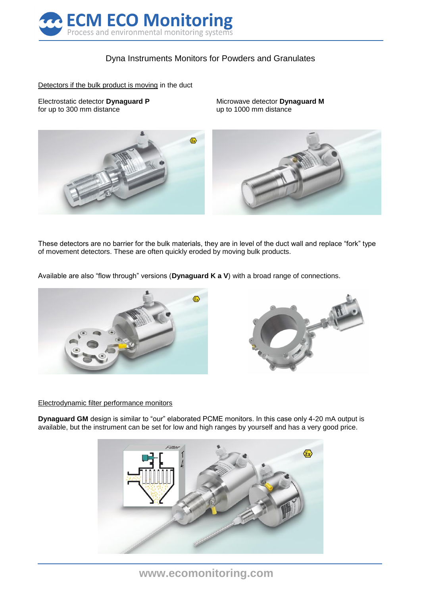

# Dyna Instruments Monitors for Powders and Granulates

Detectors if the bulk product is moving in the duct

Electrostatic detector **Dynaguard P** Microwave detector **Dynaguard M** for up to 300 mm distance up to 1000 mm distance



These detectors are no barrier for the bulk materials, they are in level of the duct wall and replace "fork" type of movement detectors. These are often quickly eroded by moving bulk products.

Available are also "flow through" versions (**Dynaguard K a V**) with a broad range of connections.





### Electrodynamic filter performance monitors

**Dynaguard GM** design is similar to "our" elaborated PCME monitors. In this case only 4-20 mA output is available, but the instrument can be set for low and high ranges by yourself and has a very good price.